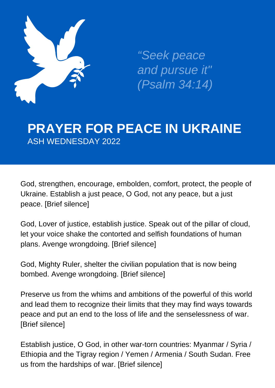

*"Seek peace and pursue it" (Psalm 34:14)*

## **PRAYER FOR PEACE IN UKRAINE** ASH WEDNESDAY 2022

God, strengthen, encourage, embolden, comfort, protect, the people of Ukraine. Establish a just peace, O God, not any peace, but a just peace. [Brief silence]

God, Lover of justice, establish justice. Speak out of the pillar of cloud, let your voice shake the contorted and selfish foundations of human plans. Avenge wrongdoing. [Brief silence]

God, Mighty Ruler, shelter the civilian population that is now being bombed. Avenge wrongdoing. [Brief silence]

Preserve us from the whims and ambitions of the powerful of this world and lead them to recognize their limits that they may find ways towards peace and put an end to the loss of life and the senselessness of war. [Brief silence]

Establish justice, O God, in other war-torn countries: Myanmar / Syria / Ethiopia and the Tigray region / Yemen / Armenia / South Sudan. Free us from the hardships of war. [Brief silence]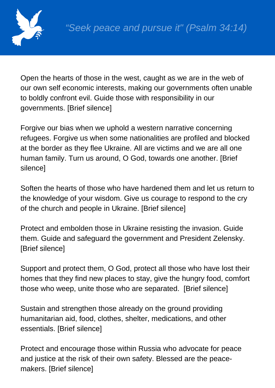

Open the hearts of those in the west, caught as we are in the web of our own self economic interests, making our governments often unable to boldly confront evil. Guide those with responsibility in our governments. [Brief silence]

Forgive our bias when we uphold a western narrative concerning refugees. Forgive us when some nationalities are profiled and blocked at the border as they flee Ukraine. All are victims and we are all one human family. Turn us around, O God, towards one another. [Brief silence]

Soften the hearts of those who have hardened them and let us return to the knowledge of your wisdom. Give us courage to respond to the cry of the church and people in Ukraine. [Brief silence]

Protect and embolden those in Ukraine resisting the invasion. Guide them. Guide and safeguard the government and President Zelensky. [Brief silence]

Support and protect them, O God, protect all those who have lost their homes that they find new places to stay, give the hungry food, comfort those who weep, unite those who are separated. [Brief silence]

Sustain and strengthen those already on the ground providing humanitarian aid, food, clothes, shelter, medications, and other essentials. [Brief silence]

Protect and encourage those within Russia who advocate for peace and justice at the risk of their own safety. Blessed are the peacemakers. [Brief silence]